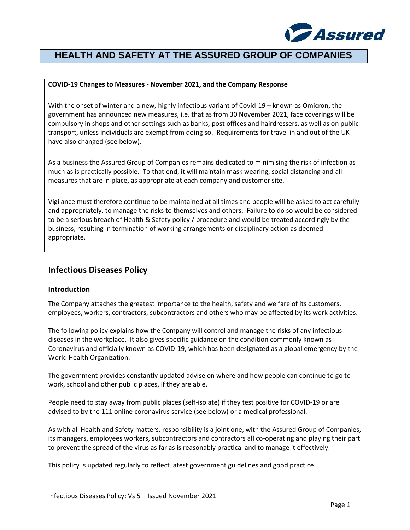

# **HEALTH AND SAFETY AT THE ASSURED GROUP OF COMPANIES**

# **COVID-19 Changes to Measures - November 2021, and the Company Response**

With the onset of winter and a new, highly infectious variant of Covid-19 – known as Omicron, the government has announced new measures, i.e. that as from 30 November 2021, face coverings will be compulsory in shops and other settings such as banks, post offices and hairdressers, as well as on public transport, unless individuals are exempt from doing so. Requirements for travel in and out of the UK have also changed (see below).

As a business the Assured Group of Companies remains dedicated to minimising the risk of infection as much as is practically possible. To that end, it will maintain mask wearing, social distancing and all measures that are in place, as appropriate at each company and customer site.

Vigilance must therefore continue to be maintained at all times and people will be asked to act carefully and appropriately, to manage the risks to themselves and others. Failure to do so would be considered to be a serious breach of Health & Safety policy / procedure and would be treated accordingly by the business, resulting in termination of working arrangements or disciplinary action as deemed appropriate.

# **Infectious Diseases Policy**

# **Introduction**

The Company attaches the greatest importance to the health, safety and welfare of its customers, employees, workers, contractors, subcontractors and others who may be affected by its work activities.

The following policy explains how the Company will control and manage the risks of any infectious diseases in the workplace. It also gives specific guidance on the condition commonly known as Coronavirus and officially known as COVID-19, which has been designated as a global emergency by the World Health Organization.

The government provides constantly updated advise on where and how people can continue to go to work, school and other public places, if they are able.

People need to stay away from public places (self-isolate) if they test positive for COVID-19 or are advised to by the 111 online coronavirus service (see below) or a medical professional.

As with all Health and Safety matters, responsibility is a joint one, with the Assured Group of Companies, its managers, employees workers, subcontractors and contractors all co-operating and playing their part to prevent the spread of the virus as far as is reasonably practical and to manage it effectively.

This policy is updated regularly to reflect latest government guidelines and good practice.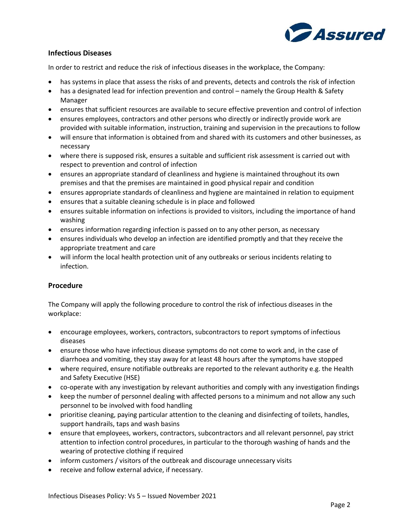

# **Infectious Diseases**

In order to restrict and reduce the risk of infectious diseases in the workplace, the Company:

- has systems in place that assess the risks of and prevents, detects and controls the risk of infection
- has a designated lead for infection prevention and control namely the Group Health & Safety Manager
- ensures that sufficient resources are available to secure effective prevention and control of infection
- ensures employees, contractors and other persons who directly or indirectly provide work are provided with suitable information, instruction, training and supervision in the precautions to follow
- will ensure that information is obtained from and shared with its customers and other businesses, as necessary
- where there is supposed risk, ensures a suitable and sufficient risk assessment is carried out with respect to prevention and control of infection
- ensures an appropriate standard of cleanliness and hygiene is maintained throughout its own premises and that the premises are maintained in good physical repair and condition
- ensures appropriate standards of cleanliness and hygiene are maintained in relation to equipment
- ensures that a suitable cleaning schedule is in place and followed
- ensures suitable information on infections is provided to visitors, including the importance of hand washing
- ensures information regarding infection is passed on to any other person, as necessary
- ensures individuals who develop an infection are identified promptly and that they receive the appropriate treatment and care
- will inform the local health protection unit of any outbreaks or serious incidents relating to infection.

# **Procedure**

The Company will apply the following procedure to control the risk of infectious diseases in the workplace:

- encourage employees, workers, contractors, subcontractors to report symptoms of infectious diseases
- ensure those who have infectious disease symptoms do not come to work and, in the case of diarrhoea and vomiting, they stay away for at least 48 hours after the symptoms have stopped
- where required, ensure notifiable outbreaks are reported to the relevant authority e.g. the Health and Safety Executive (HSE)
- co-operate with any investigation by relevant authorities and comply with any investigation findings
- keep the number of personnel dealing with affected persons to a minimum and not allow any such personnel to be involved with food handling
- prioritise cleaning, paying particular attention to the cleaning and disinfecting of toilets, handles, support handrails, taps and wash basins
- ensure that employees, workers, contractors, subcontractors and all relevant personnel, pay strict attention to infection control procedures, in particular to the thorough washing of hands and the wearing of protective clothing if required
- inform customers / visitors of the outbreak and discourage unnecessary visits
- receive and follow external advice, if necessary.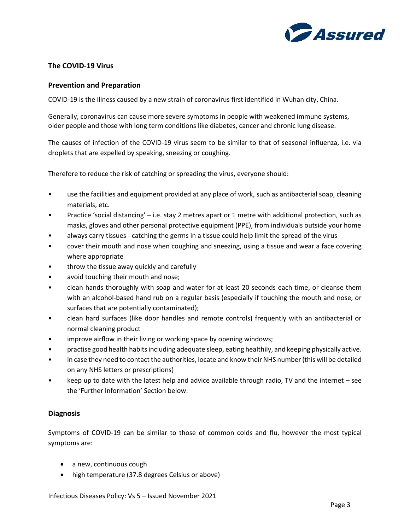

# **The COVID-19 Virus**

# **Prevention and Preparation**

COVID-19 is the illness caused by a new strain of coronavirus first identified in Wuhan city, China.

Generally, coronavirus can cause more severe symptoms in people with weakened immune systems, older people and those with long term conditions like diabetes, cancer and chronic lung disease.

The causes of infection of the COVID-19 virus seem to be similar to that of seasonal influenza, i.e. via droplets that are expelled by speaking, sneezing or coughing.

Therefore to reduce the risk of catching or spreading the virus, everyone should:

- use the facilities and equipment provided at any place of work, such as antibacterial soap, cleaning materials, etc.
- Practice 'social distancing' i.e. stay 2 metres apart or 1 metre with additional protection, such as masks, gloves and other personal protective equipment (PPE), from individuals outside your home
- always carry tissues catching the germs in a tissue could help limit the spread of the virus
- cover their mouth and nose when coughing and sneezing, using a tissue and wear a face covering where appropriate
- throw the tissue away quickly and carefully
- avoid touching their mouth and nose;
- clean hands thoroughly with soap and water for at least 20 seconds each time, or cleanse them with an alcohol-based hand rub on a regular basis (especially if touching the mouth and nose, or surfaces that are potentially contaminated);
- clean hard surfaces (like door handles and remote controls) frequently with an antibacterial or normal cleaning product
- improve airflow in their living or working space by opening windows;
- practise good health habits including adequate sleep, eating healthily, and keeping physically active.
- in case they need to contact the authorities, locate and know their NHS number (this will be detailed on any NHS letters or prescriptions)
- keep up to date with the latest help and advice available through radio, TV and the internet see the 'Further Information' Section below.

# **Diagnosis**

Symptoms of COVID-19 can be similar to those of common colds and flu, however the most typical symptoms are:

- a new, continuous cough
- high temperature (37.8 degrees Celsius or above)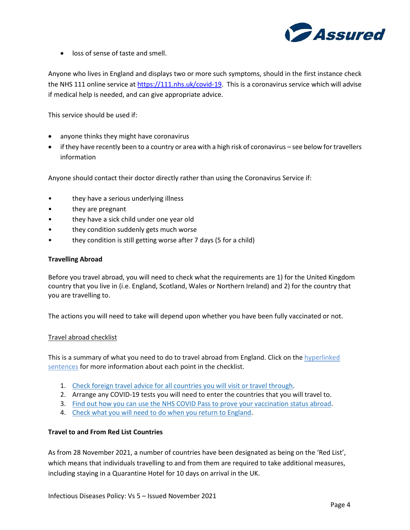

• loss of sense of taste and smell.

Anyone who lives in England and displays two or more such symptoms, should in the first instance check the NHS 111 online service at [https://111.nhs.uk/covid-19.](https://111.nhs.uk/covid-19) This is a coronavirus service which will advise if medical help is needed, and can give appropriate advice.

This service should be used if:

- anyone thinks they might have coronavirus
- if they have recently been to a country or area with a high risk of coronavirus see below for travellers information

Anyone should contact their doctor directly rather than using the Coronavirus Service if:

- they have a serious underlying illness
- they are pregnant
- they have a sick child under one year old
- they condition suddenly gets much worse
- they condition is still getting worse after 7 days (5 for a child)

# **Travelling Abroad**

Before you travel abroad, you will need to check what the requirements are 1) for the United Kingdom country that you live in (i.e. England, Scotland, Wales or Northern Ireland) and 2) for the country that you are travelling to.

The actions you will need to take will depend upon whether you have been fully vaccinated or not.

### Travel abroad checklist

This is a summary of what you need to do to travel abroad from England. Click on the hyperlinked sentences for more information about each point in the checklist.

- 1. [Check foreign travel advice for all countries you will visit or travel through.](https://www.gov.uk/foreign-travel-advice)
- 2. Arrange any COVID-19 tests you will need to enter the countries that you will travel to.
- 3. [Find out how you can use the NHS COVID Pass to prove your vaccination status abroad.](https://www.gov.uk/guidance/nhs-covid-pass)
- 4. [Check what you will need to do when you return to England.](https://www.gov.uk/guidance/travel-to-england-from-another-country-during-coronavirus-covid-19)

# **Travel to and From Red List Countries**

As from 28 November 2021, a number of countries have been designated as being on the 'Red List', which means that individuals travelling to and from them are required to take additional measures, including staying in a Quarantine Hotel for 10 days on arrival in the UK.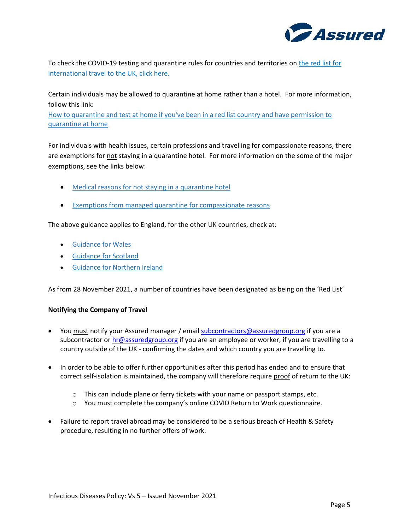

To check the COVID-19 testing and quarantine rules for countries and territories on [the red list for](https://www.gov.uk/guidance/red-list-of-countries-and-territories)  [international travel to](https://www.gov.uk/guidance/red-list-of-countries-and-territories) the UK, click here.

Certain individuals may be allowed to quarantine at home rather than a hotel. For more information, follow this link:

[How to quarantine and test at home if you've been in a red list country and have permission to](https://www.gov.uk/guidance/how-to-quarantine-and-test-at-home-if-youve-been-in-a-red-list-country-and-have-permission-to-quarantine-at-home?utm_medium=email&utm_campaign=govuk-notifications&utm_source=d7035dd1-beff-4926-8fd8-bfdec092adf7&utm_content=daily)  [quarantine at home](https://www.gov.uk/guidance/how-to-quarantine-and-test-at-home-if-youve-been-in-a-red-list-country-and-have-permission-to-quarantine-at-home?utm_medium=email&utm_campaign=govuk-notifications&utm_source=d7035dd1-beff-4926-8fd8-bfdec092adf7&utm_content=daily)

For individuals with health issues, certain professions and travelling for compassionate reasons, there are exemptions for not staying in a quarantine hotel. For more information on the some of the major exemptions, see the links below:

- Medical reasons for not [staying in a quarantine hotel](https://www.gov.uk/guidance/exemptions-from-managed-quarantine-for-medical-and-compassionate-reasons?utm_medium=email&utm_campaign=govuk-notifications&utm_source=50bb972c-8786-4d9f-9ac5-f7f52bb3f7aa&utm_content=daily)
- [Exemptions from managed quarantine for compassionate reasons](https://www.gov.uk/guidance/exemptions-from-managed-quarantine-for-compassionate-reasons?utm_medium=email&utm_campaign=govuk-notifications&utm_source=af6f2f87-a6ea-4817-ae2f-008c52dab7e1&utm_content=daily)

The above guidance applies to England, for the other UK countries, check at:

- [Guidance for Wales](https://gov.wales/rules-foreign-travel-and-wales-coronavirus-covid-19-html)
- [Guidance for Scotland](https://www.gov.scot/publications/coronavirus-covid-19-international-travel-quarantine/)
- [Guidance for Northern Ireland](https://www.nidirect.gov.uk/articles/coronavirus-covid-19-travel-advice)

As from 28 November 2021, a number of countries have been designated as being on the 'Red List'

# **Notifying the Company of Travel**

- You must notify your Assured manager / email [subcontractors@assuredgroup.org](mailto:subcontractors@assuredgroup.org) if you are a subcontractor o[r hr@assuredgroup.org](mailto:hr@assuredgroup.org) if you are an employee or worker, if you are travelling to a country outside of the UK - confirming the dates and which country you are travelling to.
- In order to be able to offer further opportunities after this period has ended and to ensure that correct self-isolation is maintained, the company will therefore require proof of return to the UK:
	- o This can include plane or ferry tickets with your name or passport stamps, etc.
	- o You must complete the company's online COVID Return to Work questionnaire.
- Failure to report travel abroad may be considered to be a serious breach of Health & Safety procedure, resulting in no further offers of work.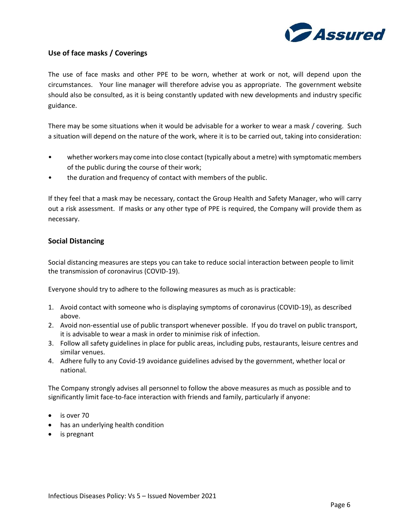

# **Use of face masks / Coverings**

The use of face masks and other PPE to be worn, whether at work or not, will depend upon the circumstances. Your line manager will therefore advise you as appropriate. The government website should also be consulted, as it is being constantly updated with new developments and industry specific guidance.

There may be some situations when it would be advisable for a worker to wear a mask / covering. Such a situation will depend on the nature of the work, where it is to be carried out, taking into consideration:

- whether workers may come into close contact (typically about a metre) with symptomatic members of the public during the course of their work;
- the duration and frequency of contact with members of the public.

If they feel that a mask may be necessary, contact the Group Health and Safety Manager, who will carry out a risk assessment. If masks or any other type of PPE is required, the Company will provide them as necessary.

# **Social Distancing**

Social distancing measures are steps you can take to reduce social interaction between people to limit the transmission of coronavirus (COVID-19).

Everyone should try to adhere to the following measures as much as is practicable:

- 1. Avoid contact with someone who is displaying symptoms of coronavirus (COVID-19), as described above.
- 2. Avoid non-essential use of public transport whenever possible. If you do travel on public transport, it is advisable to wear a mask in order to minimise risk of infection.
- 3. Follow all safety guidelines in place for public areas, including pubs, restaurants, leisure centres and similar venues.
- 4. Adhere fully to any Covid-19 avoidance guidelines advised by the government, whether local or national.

The Company strongly advises all personnel to follow the above measures as much as possible and to significantly limit face-to-face interaction with friends and family, particularly if anyone:

- is over 70
- has an underlying health condition
- is pregnant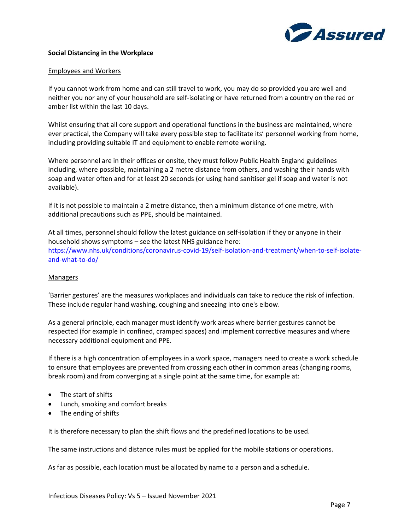

### **Social Distancing in the Workplace**

#### Employees and Workers

If you cannot work from home and can still travel to work, you may do so provided you are well and neither you nor any of your household are self-isolating or have returned from a country on the red or amber list within the last 10 days.

Whilst ensuring that all core support and operational functions in the business are maintained, where ever practical, the Company will take every possible step to facilitate its' personnel working from home, including providing suitable IT and equipment to enable remote working.

Where personnel are in their offices or onsite, they must follow Public Health England guidelines including, where possible, maintaining a 2 metre distance from others, and washing their hands with soap and water often and for at least 20 seconds (or using hand sanitiser gel if soap and water is not available).

If it is not possible to maintain a 2 metre distance, then a minimum distance of one metre, with additional precautions such as PPE, should be maintained.

At all times, personnel should follow the latest [guidance](https://www.gov.uk/government/publications/covid-19-stay-at-home-guidance/stay-at-home-guidance-for-households-with-possible-coronavirus-covid-19-infection) on self-isolation if they or anyone in their household shows symptoms – see the latest NHS guidance here: [https://www.nhs.uk/conditions/coronavirus-covid-19/self-isolation-and-treatment/when-to-self-isolate](https://www.nhs.uk/conditions/coronavirus-covid-19/self-isolation-and-treatment/when-to-self-isolate-and-what-to-do/)[and-what-to-do/](https://www.nhs.uk/conditions/coronavirus-covid-19/self-isolation-and-treatment/when-to-self-isolate-and-what-to-do/)

### Managers

'Barrier gestures' are the measures workplaces and individuals can take to reduce the risk of infection. These include regular hand washing, coughing and sneezing into one's elbow.

As a general principle, each manager must identify work areas where barrier gestures cannot be respected (for example in confined, cramped spaces) and implement corrective measures and where necessary additional equipment and PPE.

If there is a high concentration of employees in a work space, managers need to create a work schedule to ensure that employees are prevented from crossing each other in common areas (changing rooms, break room) and from converging at a single point at the same time, for example at:

- The start of shifts
- Lunch, smoking and comfort breaks
- The ending of shifts

It is therefore necessary to plan the shift flows and the predefined locations to be used.

The same instructions and distance rules must be applied for the mobile stations or operations.

As far as possible, each location must be allocated by name to a person and a schedule.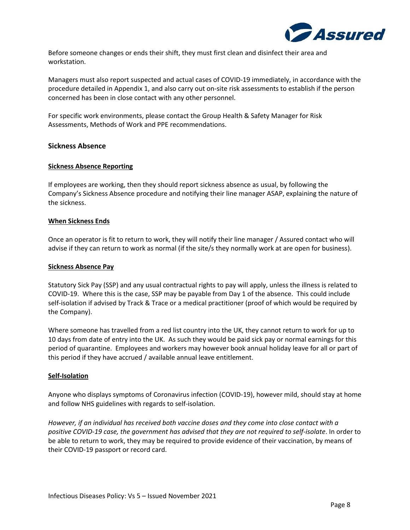

Before someone changes or ends their shift, they must first clean and disinfect their area and workstation.

Managers must also report suspected and actual cases of COVID-19 immediately, in accordance with the procedure detailed in Appendix 1, and also carry out on-site risk assessments to establish if the person concerned has been in close contact with any other personnel.

For specific work environments, please contact the Group Health & Safety Manager for Risk Assessments, Methods of Work and PPE recommendations.

# **Sickness Absence**

### **Sickness Absence Reporting**

If employees are working, then they should report sickness absence as usual, by following the Company's Sickness Absence procedure and notifying their line manager ASAP, explaining the nature of the sickness.

# **When Sickness Ends**

Once an operator is fit to return to work, they will notify their line manager / Assured contact who will advise if they can return to work as normal (if the site/s they normally work at are open for business).

### **Sickness Absence Pay**

Statutory Sick Pay (SSP) and any usual contractual rights to pay will apply, unless the illness is related to COVID-19. Where this is the case, SSP may be payable from Day 1 of the absence. This could include self-isolation if advised by Track & Trace or a medical practitioner (proof of which would be required by the Company).

Where someone has travelled from a red list country into the UK, they cannot return to work for up to 10 days from date of entry into the UK. As such they would be paid sick pay or normal earnings for this period of quarantine. Employees and workers may however book annual holiday leave for all or part of this period if they have accrued / available annual leave entitlement.

### **Self-Isolation**

Anyone who displays symptoms of Coronavirus infection (COVID-19), however mild, should stay at home and follow NHS guidelines with regards to self-isolation.

*However, if an individual has received both vaccine doses and they come into close contact with a positive COVID-19 case, the government has advised that they are not required to self-isolate*. In order to be able to return to work, they may be required to provide evidence of their vaccination, by means of their COVID-19 passport or record card.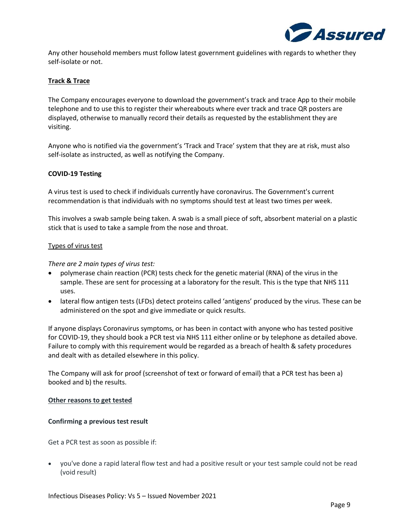

Any other household members must follow latest government guidelines with regards to whether they self-isolate or not.

# **Track & Trace**

The Company encourages everyone to download the government's track and trace App to their mobile telephone and to use this to register their whereabouts where ever track and trace QR posters are displayed, otherwise to manually record their details as requested by the establishment they are visiting.

Anyone who is notified via the government's 'Track and Trace' system that they are at risk, must also self-isolate as instructed, as well as notifying the Company.

# **COVID-19 Testing**

A virus test is used to check if individuals currently have coronavirus. The Government's current recommendation is that individuals with no symptoms should test at least two times per week.

This involves a swab sample being taken. A swab is a small piece of soft, absorbent material on a plastic stick that is used to take a sample from the nose and throat.

### Types of virus test

# *There are 2 main types of virus test:*

- polymerase chain reaction (PCR) tests check for the genetic material (RNA) of the virus in the sample. These are sent for processing at a laboratory for the result. This is the type that NHS 111 uses.
- lateral flow antigen tests (LFDs) detect proteins called 'antigens' produced by the virus. These can be administered on the spot and give immediate or quick results.

If anyone displays Coronavirus symptoms, or has been in contact with anyone who has tested positive for COVID-19, they should book a PCR test via NHS 111 either online or by telephone as detailed above. Failure to comply with this requirement would be regarded as a breach of health & safety procedures and dealt with as detailed elsewhere in this policy.

The Company will ask for proof (screenshot of text or forward of email) that a PCR test has been a) booked and b) the results.

### **Other reasons to get tested**

### **Confirming a previous test result**

Get a PCR test as soon as possible if:

• you've done a rapid lateral flow test and had a positive result or your test sample could not be read (void result)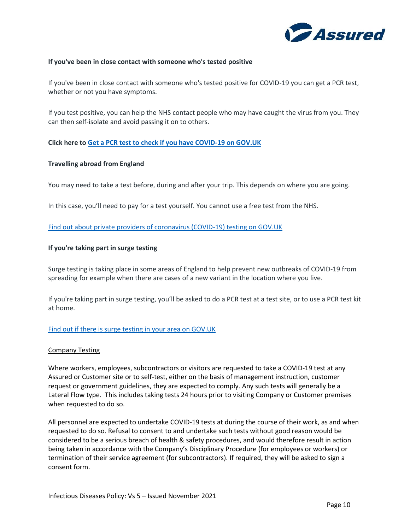

# **If you've been in close contact with someone who's tested positive**

If you've been in close contact with someone who's tested positive for COVID-19 you can get a PCR test, whether or not you have symptoms.

If you test positive, you can help the NHS contact people who may have caught the virus from you. They can then self-isolate and avoid passing it on to others.

**Click here to [Get a PCR test to check if you have COVID-19 on GOV.UK](https://www.gov.uk/get-coronavirus-test)**

# **Travelling abroad from England**

You may need to take a test before, during and after your trip. This depends on where you are going.

In this case, you'll need to pay for a test yourself. You cannot use a free test from the NHS.

[Find out about private providers of coronavirus \(COVID-19\) testing on GOV.UK](https://www.gov.uk/government/publications/list-of-private-providers-of-coronavirus-testing/list-of-private-providers-of-coronavirus-testing)

### **If you're taking part in surge testing**

Surge testing is taking place in some areas of England to help prevent new outbreaks of COVID-19 from spreading for example when there are cases of a new variant in the location where you live.

If you're taking part in surge testing, you'll be asked to do a PCR test at a test site, or to use a PCR test kit at home.

### [Find out if there is surge testing in your area on GOV.UK](https://www.gov.uk/guidance/surge-testing-for-new-coronavirus-covid-19-variants)

### Company Testing

Where workers, employees, subcontractors or visitors are requested to take a COVID-19 test at any Assured or Customer site or to self-test, either on the basis of management instruction, customer request or government guidelines, they are expected to comply. Any such tests will generally be a Lateral Flow type. This includes taking tests 24 hours prior to visiting Company or Customer premises when requested to do so.

All personnel are expected to undertake COVID-19 tests at during the course of their work, as and when requested to do so. Refusal to consent to and undertake such tests without good reason would be considered to be a serious breach of health & safety procedures, and would therefore result in action being taken in accordance with the Company's Disciplinary Procedure (for employees or workers) or termination of their service agreement (for subcontractors). If required, they will be asked to sign a consent form.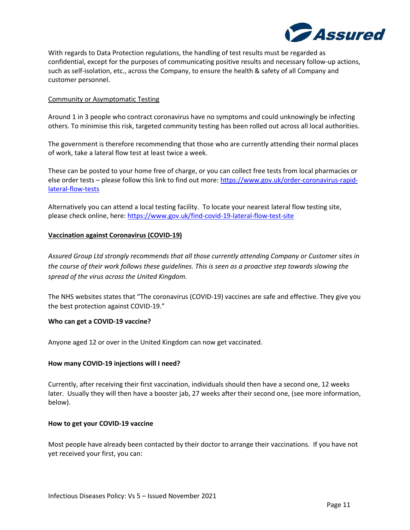

With regards to Data Protection regulations, the handling of test results must be regarded as confidential, except for the purposes of communicating positive results and necessary follow-up actions, such as self-isolation, etc., across the Company, to ensure the health & safety of all Company and customer personnel.

# Community or Asymptomatic Testing

Around 1 in 3 people who contract coronavirus have no symptoms and could unknowingly be infecting others. To minimise this risk, targeted community testing has been rolled out across all local authorities.

The government is therefore recommending that those who are currently attending their normal places of work, take a lateral flow test at least twice a week.

These can be posted to your home free of charge, or you can collect free tests from local pharmacies or else order tests – please follow this link to find out more: [https://www.gov.uk/order-coronavirus-rapid](https://www.gov.uk/order-coronavirus-rapid-lateral-flow-tests)[lateral-flow-tests](https://www.gov.uk/order-coronavirus-rapid-lateral-flow-tests)

Alternatively you can attend a local testing facility. To locate your nearest lateral flow testing site, please check online, here:<https://www.gov.uk/find-covid-19-lateral-flow-test-site>

# **Vaccination against Coronavirus (COVID-19)**

*Assured Group Ltd strongly recommends that all those currently attending Company or Customer sites in the course of their work follows these guidelines. This is seen as a proactive step towards slowing the spread of the virus across the United Kingdom.* 

The NHS websites states that "The coronavirus (COVID-19) vaccines are safe and effective. They give you the best protection against COVID-19."

### **Who can get a COVID-19 vaccine?**

Anyone aged 12 or over in the United Kingdom can now get vaccinated.

### **How many COVID-19 injections will I need?**

Currently, after receiving their first vaccination, individuals should then have a second one, 12 weeks later. Usually they will then have a booster jab, 27 weeks after their second one, (see more information, below).

### **How to get your COVID-19 vaccine**

Most people have already been contacted by their doctor to arrange their vaccinations. If you have not yet received your first, you can: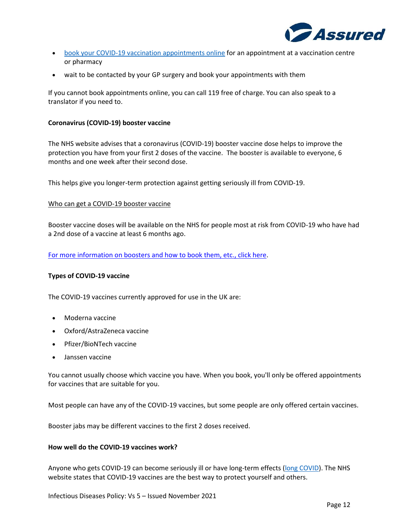

- [book your COVID-19 vaccination appointments online](https://www.nhs.uk/conditions/coronavirus-covid-19/coronavirus-vaccination/book-coronavirus-vaccination/) for an appointment at a vaccination centre or pharmacy
- wait to be contacted by your GP surgery and book your appointments with them

If you cannot book appointments online, you can call 119 free of charge. You can also speak to a translator if you need to.

### **Coronavirus (COVID-19) booster vaccine**

The NHS website advises that a coronavirus (COVID-19) booster vaccine dose helps to improve the protection you have from your first 2 doses of the vaccine. The booster is available to everyone, 6 months and one week after their second dose.

This helps give you longer-term protection against getting seriously ill from COVID-19.

# Who can get a COVID-19 booster vaccine

Booster vaccine doses will be available on the NHS for people most at risk from COVID-19 who have had a 2nd dose of a vaccine at least 6 months ago.

[For more information on boosters and how to book them, etc., click here.](https://www.nhs.uk/conditions/coronavirus-covid-19/coronavirus-vaccination/coronavirus-booster-vaccine/)

### **Types of COVID-19 vaccine**

The COVID-19 vaccines currently approved for use in the UK are:

- Moderna vaccine
- Oxford/AstraZeneca vaccine
- Pfizer/BioNTech vaccine
- Janssen vaccine

You cannot usually choose which vaccine you have. When you book, you'll only be offered appointments for vaccines that are suitable for you.

Most people can have any of the COVID-19 vaccines, but some people are only offered certain vaccines.

Booster jabs may be different vaccines to the first 2 doses received.

### **How well do the COVID-19 vaccines work?**

Anyone who gets COVID-19 can become seriously ill or have long-term effects [\(long COVID\)](https://www.nhs.uk/conditions/coronavirus-covid-19/long-term-effects-of-coronavirus-long-covid/). The NHS website states that COVID-19 vaccines are the best way to protect yourself and others.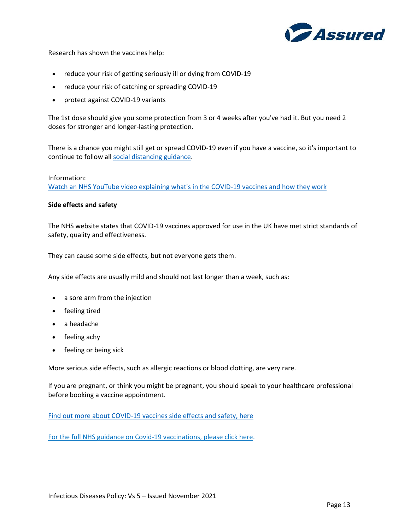

Research has shown the vaccines help:

- reduce your risk of getting seriously ill or dying from COVID-19
- reduce your risk of catching or spreading COVID-19
- protect against COVID-19 variants

The 1st dose should give you some protection from 3 or 4 weeks after you've had it. But you need 2 doses for stronger and longer-lasting protection.

There is a chance you might still get or spread COVID-19 even if you have a vaccine, so it's important to continue to follow all [social distancing guidance.](https://www.nhs.uk/conditions/coronavirus-covid-19/social-distancing/what-you-need-to-do/)

### Information:

[Watch an NHS YouTube video explaining what's in the COVID-19 vaccines and how they work](https://www.youtube.com/watch?v=zgtWpwkS9u4&list=PLnhASgDToTktp2HIjdyeo2fsI6Agcn1ul&index=5)

### **Side effects and safety**

The NHS website states that COVID-19 vaccines approved for use in the UK have met strict standards of safety, quality and effectiveness.

They can cause some side effects, but not everyone gets them.

Any side effects are usually mild and should not last longer than a week, such as:

- a sore arm from the injection
- feeling tired
- a headache
- feeling achy
- feeling or being sick

More serious side effects, such as allergic reactions or blood clotting, are very rare.

If you are pregnant, or think you might be pregnant, you should speak to your healthcare professional before booking a vaccine appointment.

[Find out more about COVID-19 vaccines side effects and safety, here](https://www.nhs.uk/conditions/coronavirus-covid-19/coronavirus-vaccination/safety-and-side-effects/)

[For the full NHS guidance on Covid-19 vaccinations, please click here.](https://www.nhs.uk/conditions/coronavirus-covid-19/coronavirus-vaccination/coronavirus-vaccine/)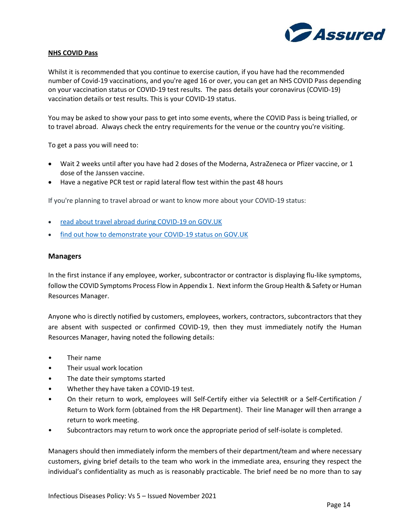

### **NHS COVID Pass**

Whilst it is recommended that you continue to exercise caution, if you have had the recommended number of Covid-19 vaccinations, and you're aged 16 or over, you can get an NHS COVID Pass depending on your vaccination status or COVID-19 test results. The pass details your coronavirus (COVID-19) vaccination details or test results. This is your COVID-19 status.

You may be asked to show your pass to get into some events, where the COVID Pass is being trialled, or to travel abroad. Always check the entry requirements for the venue or the country you're visiting.

To get a pass you will need to:

- Wait 2 weeks until after you have had 2 doses of the Moderna, AstraZeneca or Pfizer vaccine, or 1 dose of the Janssen vaccine.
- Have a negative PCR test or rapid lateral flow test within the past 48 hours

If you're planning to travel abroad or want to know more about your COVID-19 status:

- [read about travel abroad during COVID-19 on GOV.UK](https://www.gov.uk/guidance/travel-abroad-from-england-during-coronavirus-covid-19)
- [find out how to demonstrate your COVID-19 status on GOV.UK](https://www.gov.uk/guidance/demonstrating-your-covid-19-status/)

### **Managers**

In the first instance if any employee, worker, subcontractor or contractor is displaying flu-like symptoms, follow the COVID Symptoms Process Flow in Appendix 1. Next inform the Group Health & Safety or Human Resources Manager.

Anyone who is directly notified by customers, employees, workers, contractors, subcontractors that they are absent with suspected or confirmed COVID-19, then they must immediately notify the Human Resources Manager, having noted the following details:

- Their name
- Their usual work location
- The date their symptoms started
- Whether they have taken a COVID-19 test.
- On their return to work, employees will Self-Certify either via SelectHR or a Self-Certification / Return to Work form (obtained from the HR Department). Their line Manager will then arrange a return to work meeting.
- Subcontractors may return to work once the appropriate period of self-isolate is completed.

Managers should then immediately inform the members of their department/team and where necessary customers, giving brief details to the team who work in the immediate area, ensuring they respect the individual's confidentiality as much as is reasonably practicable. The brief need be no more than to say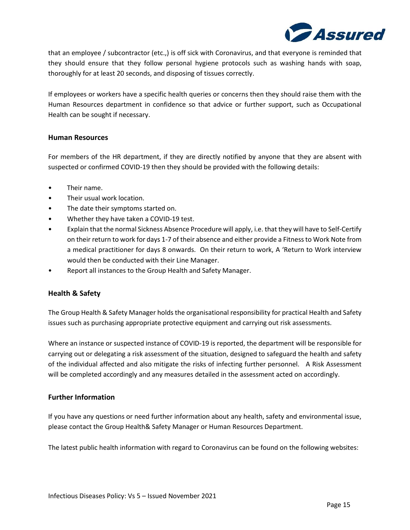

that an employee / subcontractor (etc.,) is off sick with Coronavirus, and that everyone is reminded that they should ensure that they follow personal hygiene protocols such as washing hands with soap, thoroughly for at least 20 seconds, and disposing of tissues correctly.

If employees or workers have a specific health queries or concerns then they should raise them with the Human Resources department in confidence so that advice or further support, such as Occupational Health can be sought if necessary.

# **Human Resources**

For members of the HR department, if they are directly notified by anyone that they are absent with suspected or confirmed COVID-19 then they should be provided with the following details:

- Their name.
- Their usual work location.
- The date their symptoms started on.
- Whether they have taken a COVID-19 test.
- Explain that the normal Sickness Absence Procedure will apply, i.e. that they will have to Self-Certify on their return to work for days 1-7 of their absence and either provide a Fitness to Work Note from a medical practitioner for days 8 onwards. On their return to work, A 'Return to Work interview would then be conducted with their Line Manager.
- Report all instances to the Group Health and Safety Manager.

# **Health & Safety**

The Group Health & Safety Manager holds the organisational responsibility for practical Health and Safety issues such as purchasing appropriate protective equipment and carrying out risk assessments.

Where an instance or suspected instance of COVID-19 is reported, the department will be responsible for carrying out or delegating a risk assessment of the situation, designed to safeguard the health and safety of the individual affected and also mitigate the risks of infecting further personnel. A Risk Assessment will be completed accordingly and any measures detailed in the assessment acted on accordingly.

# **Further Information**

If you have any questions or need further information about any health, safety and environmental issue, please contact the Group Health& Safety Manager or Human Resources Department.

The latest public health information with regard to Coronavirus can be found on the following websites: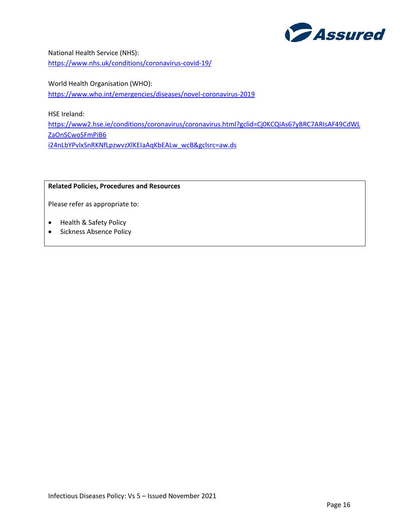

National Health Service (NHS): <https://www.nhs.uk/conditions/coronavirus-covid-19/>

World Health Organisation (WHO): <https://www.who.int/emergencies/diseases/novel-coronavirus-2019>

HSE Ireland:

[https://www2.hse.ie/conditions/coronavirus/coronavirus.html?gclid=Cj0KCQiAs67yBRC7ARIsAF49CdWL](https://www2.hse.ie/conditions/coronavirus/coronavirus.html?gclid=Cj0KCQiAs67yBRC7ARIsAF49CdWLZaOnSCwoSFmPiB6i24nLbYPvlxSnRKNfLpzwvzXlKEIaAqKbEALw_wcB&gclsrc=aw.ds) [ZaOnSCwoSFmPiB6](https://www2.hse.ie/conditions/coronavirus/coronavirus.html?gclid=Cj0KCQiAs67yBRC7ARIsAF49CdWLZaOnSCwoSFmPiB6i24nLbYPvlxSnRKNfLpzwvzXlKEIaAqKbEALw_wcB&gclsrc=aw.ds) [i24nLbYPvlxSnRKNfLpzwvzXlKEIaAqKbEALw\\_wcB&gclsrc=aw.ds](https://www2.hse.ie/conditions/coronavirus/coronavirus.html?gclid=Cj0KCQiAs67yBRC7ARIsAF49CdWLZaOnSCwoSFmPiB6i24nLbYPvlxSnRKNfLpzwvzXlKEIaAqKbEALw_wcB&gclsrc=aw.ds)

# **Related Policies, Procedures and Resources**

Please refer as appropriate to:

- Health & Safety Policy
- Sickness Absence Policy